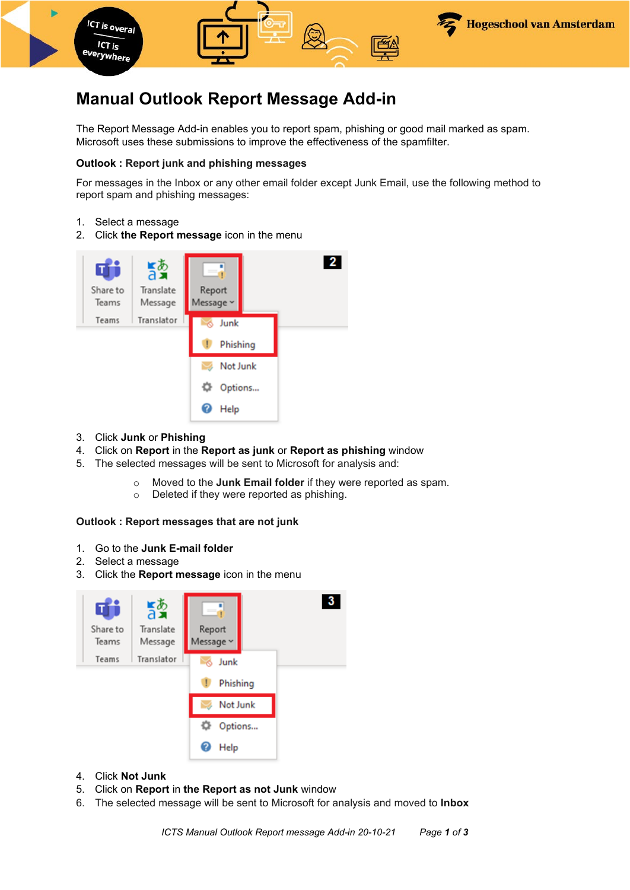

# **Manual Outlook Report Message Add-in**

The Report Message Add-in enables you to report spam, phishing or good mail marked as spam. Microsoft uses these submissions to improve the effectiveness of the spamfilter.

## **Outlook : Report junk and phishing messages**

For messages in the Inbox or any other email folder except Junk Email, use the following method to report spam and phishing messages:

- 1. Select a message
- 2. Click **the Report message** icon in the menu



- 3. Click **Junk** or **Phishing**
- 4. Click on **Report** in the **Report as junk** or **Report as phishing** window
- 5. The selected messages will be sent to Microsoft for analysis and:
	- o Moved to the **Junk Email folder** if they were reported as spam.
	- o Deleted if they were reported as phishing.

### **Outlook : Report messages that are not junk**

- 1. Go to the **Junk E-mail folder**
- 2. Select a message
- 3. Click the **Report message** icon in the menu



- 4. Click **Not Junk**
- 5. Click on **Report** in **the Report as not Junk** window
- 6. The selected message will be sent to Microsoft for analysis and moved to **Inbox**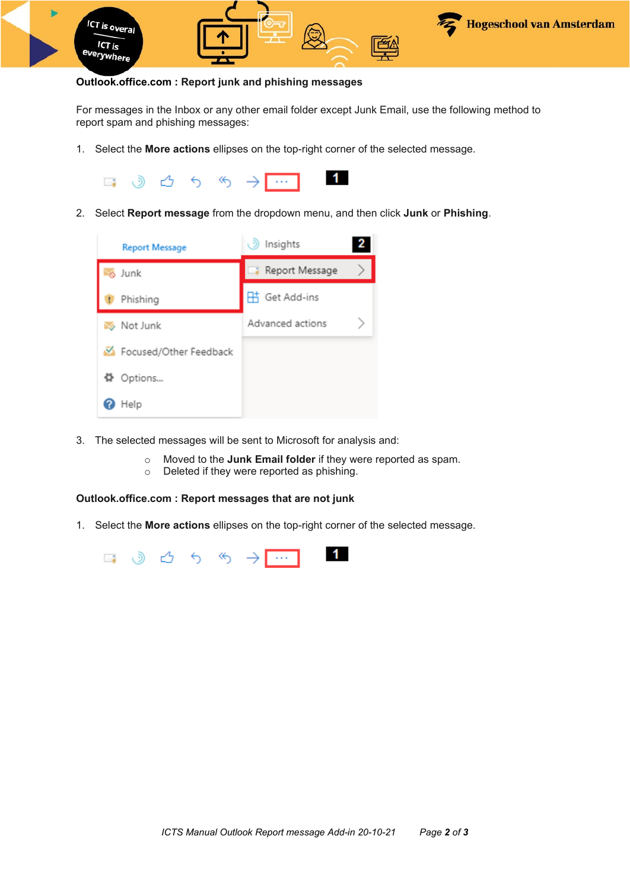

#### **Outlook.office.com : Report junk and phishing messages**

For messages in the Inbox or any other email folder except Junk Email, use the following method to report spam and phishing messages:

1. Select the **More actions** ellipses on the top-right corner of the selected message.



2. Select **Report message** from the dropdown menu, and then click **Junk** or **Phishing**.



- 3. The selected messages will be sent to Microsoft for analysis and:
	- o Moved to the **Junk Email folder** if they were reported as spam.<br>○ Deleted if they were reported as phishing.
	- Deleted if they were reported as phishing.

#### **Outlook.office.com : Report messages that are not junk**

1. Select the **More actions** ellipses on the top-right corner of the selected message.